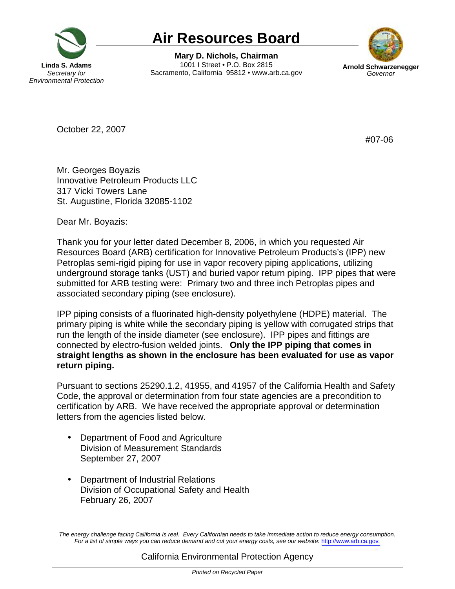

## **Air Resources Board**

1001 | Street . P.O. Box 2815 **Linda S. Adams 1001 I Street • P.O. Box 2815 Arnold Schwarzenegger Secretary for Sacramento, California 95812 • www.arb.ca.gov Governor** *Governor* **Mary D. Nichols, Chairman** 



October 22, 2007

#07-06

 Mr. Georges Boyazis Innovative Petroleum Products LLC 317 Vicki Towers Lane St. Augustine, Florida 32085-1102

Dear Mr. Boyazis:

 Thank you for your letter dated December 8, 2006, in which you requested Air Resources Board (ARB) certification for Innovative Petroleum Products's (IPP) new Petroplas semi-rigid piping for use in vapor recovery piping applications, utilizing underground storage tanks (UST) and buried vapor return piping. IPP pipes that were submitted for ARB testing were: Primary two and three inch Petroplas pipes and associated secondary piping (see enclosure).

 IPP piping consists of a fluorinated high-density polyethylene (HDPE) material. The primary piping is white while the secondary piping is yellow with corrugated strips that run the length of the inside diameter (see enclosure). IPP pipes and fittings are connected by electro-fusion welded joints. **Only the IPP piping that comes in straight lengths as shown in the enclosure has been evaluated for use as vapor return piping.** 

 Pursuant to sections 25290.1.2, 41955, and 41957 of the California Health and Safety Code, the approval or determination from four state agencies are a precondition to certification by ARB. We have received the appropriate approval or determination letters from the agencies listed below.

- • Department of Food and Agriculture Division of Measurement Standards September 27, 2007
- • Department of Industrial Relations Division of Occupational Safety and Health February 26, 2007

 The energy challenge facing California is real. Every Californian needs to take immediate action to reduce energy consumption. For a list of simple ways you can reduce demand and cut your energy costs, see our website: <http://www.arb.ca.gov>.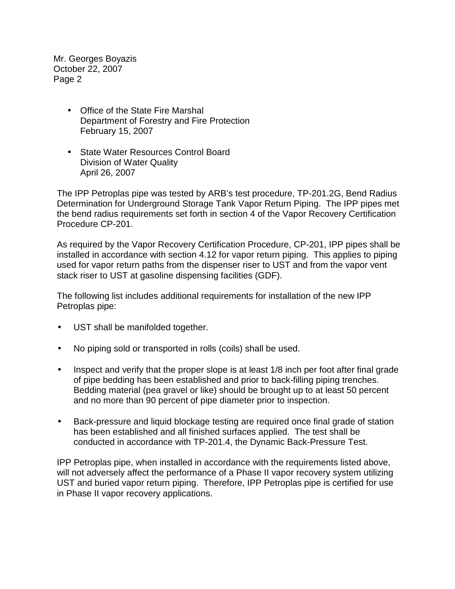Mr. Georges Boyazis October 22, 2007 Page 2

- • Office of the State Fire Marshal Department of Forestry and Fire Protection February 15, 2007
- • State Water Resources Control Board Division of Water Quality April 26, 2007

 The IPP Petroplas pipe was tested by ARB's test procedure, [TP-201.2G](https://TP-201.2G), Bend Radius Determination for Underground Storage Tank Vapor Return Piping. The IPP pipes met the bend radius requirements set forth in section 4 of the Vapor Recovery Certification Procedure CP-201.

 As required by the Vapor Recovery Certification Procedure, CP-201, IPP pipes shall be installed in accordance with section 4.12 for vapor return piping. This applies to piping used for vapor return paths from the dispenser riser to UST and from the vapor vent stack riser to UST at gasoline dispensing facilities (GDF).

 The following list includes additional requirements for installation of the new IPP Petroplas pipe:

- $\bullet$ UST shall be manifolded together.
- No piping sold or transported in rolls (coils) shall be used.
- $\bullet$  of pipe bedding has been established and prior to back-filling piping trenches. Bedding material (pea gravel or like) should be brought up to at least 50 percent and no more than 90 percent of pipe diameter prior to inspection. • Inspect and verify that the proper slope is at least 1/8 inch per foot after final grade
- • Back-pressure and liquid blockage testing are required once final grade of station has been established and all finished surfaces applied. The test shall be conducted in accordance with TP-201.4, the Dynamic Back-Pressure Test.

 IPP Petroplas pipe, when installed in accordance with the requirements listed above, will not adversely affect the performance of a Phase II vapor recovery system utilizing UST and buried vapor return piping. Therefore, IPP Petroplas pipe is certified for use in Phase II vapor recovery applications.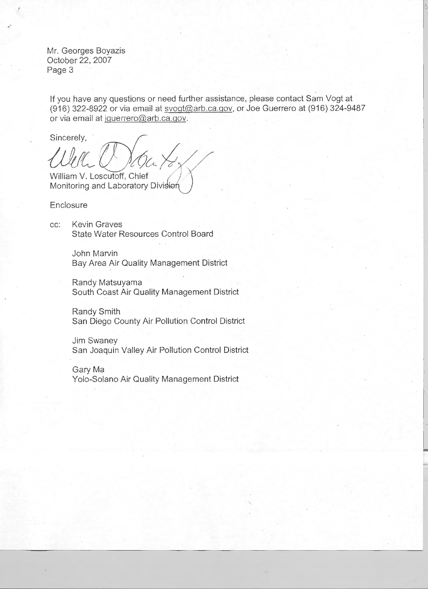Mr. Georges Boyazis October 22, 2007 Page 3

If you have any questions or need further assistance, please contact Sam Vogt at (916) 322-8922 or via email at [svogt@arb.ca.gov](mailto:svogt@arb.ca.gov), or Joe Guerrero at (916) 324-9487 or via email at [jguerrero@arb.ca.gov](mailto:jguerrero@arb.ca.gov).

Sincerely,

Well Orba Kox William V. Loscutoff, Chief

Monitoring and Laboratory Division

**Enclosure** 

cc: Kevin Graves State Water Resources Control Board

> John Marvin Bay Area Air Quality Management District

Randy Matsuyama South Coast Air Quality Management District

Randy Smith San Diego County Air Pollution Control District

Jim Swaney San Joaquin Valley Air Pollution Control District

Gary Ma Yolo-Solano Air Quality Management District

-